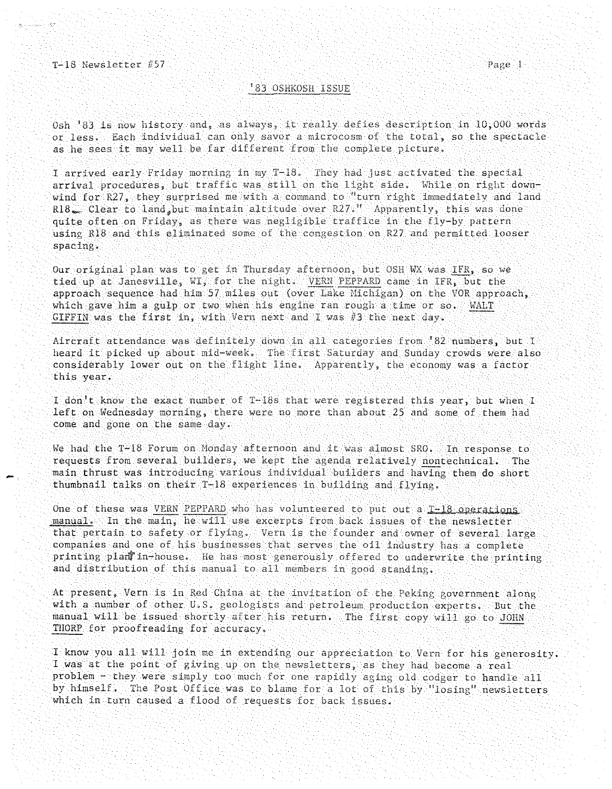-<br>-<br>-

## **83 OSHKOSH ISSUE**

Osh '83 is now history and, as always, it really defies description in  $10,000$  words or less. Each individual can only savor a microcosm of the total, so the spectacle as he sees it may well be far different from the

I arrived early Friday morning in my T-18. They had just activated the special arrival procedures, but traffic was still on the light side. While on right downwind for R27, they surprised me with a command to "turn right immediately and land R18. Clear to land, but maintain altitude over  $R27$ ." Apparently, this was done quite often on Friday, as there was negligible traffice in the fly-by pattern using R18 and this eliminated some of the congestion on R27 and permitted looser spacing.

Our original plan was to get in Thursday afternoon, but OSH WX was IFR, so we tied up at Janesville, WI, for the night. <u>VERN PEPPARD</u> came in IFR, but the approach sequence had him 57 miles out (over Lake Michigan) on the VOR approach, which gave him a gulp or two when his engine ran rough a time or  $so.$  WALT  $GIFTIN$  was the first in, with Vern next and I was  $\#3$  the next day.

Aircraft attendance was definitely down in all categories from '82 numbers, but I heard it picked up about mid-week. The first Saturday and Sunday crowds were also considerably lower out on the flight line. Apparently, the economy was a factor this year.

I don't know the exact number of T-18s that were registered this year, but when I left on Wednesday morning, there were no more than about 25 and some of them had come and gone on the same day.

We had the T-18 Forum on Monday afternoon and it was almost SRO. In response to requests from several builders, we kept the agenda relatively nontechnical. The main thrust was introducing various individual builders and having them do short thumbnail talks on their  $T-18$  experiences in building and flying.

One of these was VERN PEPPARD who has volunteered to put out a *I-18 operations* manual. In the main, he will use excerpts from back issues of the newsletter that pertain to safety or flying. Vern is the founder and owner of several large companies and one of his businesses that serves the  $o11$  industry has a complete printing plan in-house. He has most generously offered to underwrite the printing and distribution of this manual to all members in good standing.

At present, Vern is in Red China at the invitation of the Peking government along with a number of other U.S. geologists and petroleum production experts. But the will go to ~ manual will be issued after his return. The first copy THORP for proofreading for accuracy.

I know you all will join me in extending our appreciation to Vern for his generosity. I was at the point of giving up on the newsletters, as they had become a real problem - they were simply too much for one rapidly aging old codger to handle all by himself. The Post Office was to blame for a lot of this by "losing" newsletters which in turn caused a flood of requests for back issues.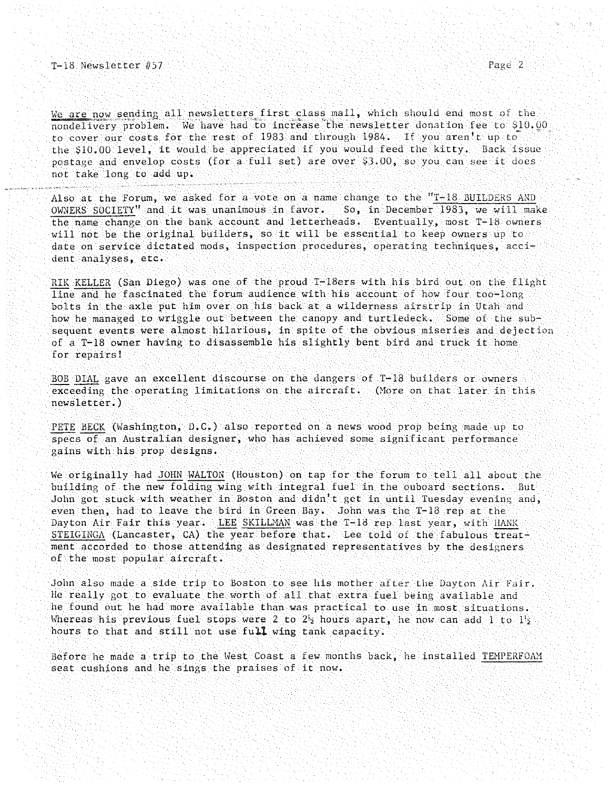We are now sending all newsletters first class mall, which should end most of the nondelivery problem. We have had to increase the newsletter donation fee to \$10.00 to cover our costs for the rest of 1983 and through 1984. If you aren't up to the \$10.00 level, it would be appreciated if you would feed the kitty. Back issue postage and envelop costs (for a full set) are over \$3.00, so you can see it does not take long to add up.

Also at the Forum, we asked for a vote on a name change to the "T-18 BUILDERS AND OWNERS SOCIETY" and it was unanimous in favor. So, in December 1983, we will make the name change on the bank account and letterheads. Eventually, most T-18 owners will not be the original builders, so it will be essential to keep owners up to **date on service dictated mods, inspection procedures, operating techniques, acci**dent analyses, etc.

RIK KELLER (San Diego) was one of the proud T-18ers with his bird out on the flight line and he fascinated the forum audience with his account of how four too-long bolts in the axle put him over on his back at a wilderness airstrip in Utah and how he managed to wriggle out between the canopy and turtledeck. Some of the subsequent events were almost hilarious, in spite of the obvious miseries and dejection of a T-18 owner having to disassemble his slightly bent bird and truck it home for repairs!

BOB DIAL gave an excellent discourse on the dangers of T-18 builders or owners exceeding the operating limitations On the aircraft. (More on that later in this newsletter.)

PETE HECK (Washington, D.C.) also reported on a news wood prop being made up to specs of an Australian designer, who has achieved some significant performance gains with his prop designs.

We originally had JOHN WALTON (Houston) on tap for the forum to tell all about the building of the new folding wing with integral fuel in the ouboard sections. But John got stuck with weather in Boston and didn't get in until Tuesday evening and, even then, had to leave the bird in Green Bay. John was the T-13 rep at the Dayton Air Fair this year. LEE SKILLMAN was the T-18 rep last year, with HANK STEIGINGA (Lancaster, CA) the year before that. Lee told of the fabulous treatment accorded to those attending as designated representatives by the designers of the most popular aircraft.

John also made a side trip to Boston to see his mother after the Dayton Air Fair. He really got to evaluate the worth of all that extra fuel being available and he found out he had more available than was practical to use in most situations. Whereas his previous fuel stops were 2 to  $2<sup>1</sup>2$  hours apart, he now can add 1 to  $1<sup>1</sup>2$ hours to that and still not use full wing tank capacity.

Before he made a trip to the West Coast a few months back, he installed TEMPERFOAM seat cushions and he sings the praises of it now.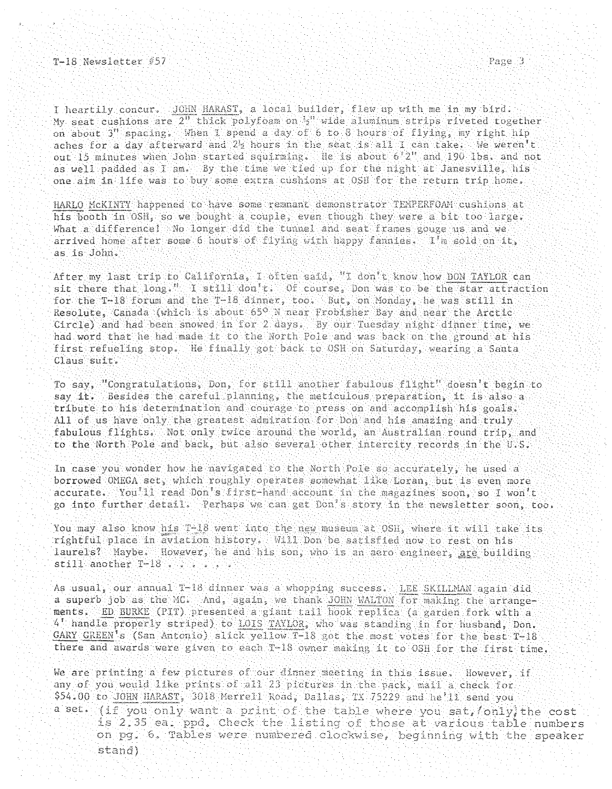I heartily concur. JOHN HARAST, a local builder, flew up with me in my bird. My seat cushions are 2" thick polyfoam on 5" wide aluminum strips riveted together on about 3" spacing. When I spend a day of 6 to 8 hours of flying, my right hip aches for a day afterward and 2% hours in the seat is all I can take. We weren't out 15 minutes when John started squirming. He is about  $6'2''$  and  $190$  lbs. and not as well padded as I am. By the time we tied up for the night at Janesville, his one aim in life was to buy some extra cushions at OSH for the return trip home.

HARLO MCKINTY happened to have some remnant demonstrator TEMPERFOAM cushions at so we bought a couple, even though they were a bit too What a difference! No longer did the tunnel and seat frames gouge us and we arrived home after some 6 hours of flying with happy fannies. I'm sold on it, as is John,.

After my last trip to California, I often said, "I don't know how DON TAYLOR can sit there that  $long$ . I still don't. Of course, Don was to be the star attraction for the T-18 forum and the T-18 dinner, too. But, on Monday, he was still in Resolute, Canada (which is about 65° N near Frobisher Bay and near the Arctic Circle) and had been snowed in for 2 days. By our Tuesday night dinner time, we had word that he had made it to the North Pole and was back on the ground at his first refueling stop. He finally got back to OSH on Saturday, wearing a Santa Claus suit.

To say, "Congratulations, Don, for still another fabulous flight" doesn't begin to say it. Besides the careful planning, the meticulous preparation, it is also a tribute to his determination and courage to press on and accomplish his goals. All of us have only the greatest admiration for Don and his amazing and truly fabulous flights. Not only twice around the world, an Australian round trip, and to the North Pole and back, but also several other intercity records in the U.S.

In case you wonder how he navigated to the North Pole so accurately, he used a borrowed OMEGA set, which roughly operates somewhat like Loran, but is even more  $\texttt{accurate:}~~$  You $^111$  read Don's first-hand  $\texttt{account}$  in the magazines soon, so I won't go into further detail. Perhaps we can get Don's story in the newsletter soon, too.

You may also know his T-18 went into the new museum at OSH, where it will take its rightful place in aviation history. Will Don be satisfied now to rest on his laurels? Maybe. However, he and his son, who is an aero engineer, are building still another T-18 . . . . . . .

As usual, our annual T-18 dinner was a whopping success. LEE SKILLMAN again did a superb job as the MC. And, again, we thank JOHN WALTON for making the arrangements. ED BURKE (PIT) presented a giant tail hook replica (a garden fork with a 4 handle properly striped) to LOIS TAYLOR, who was standing in for husband, Don. GARY GREEN's (San Antonio) slick yellow T-18 got the most votes for the best T-18 there and awards were given to each T-18 owner making it to OSH for the first time.

We are printing a few pictures of our dinner meeting in this issue. However, if any of you would like prints of all 23 pictures in the pack, mail a check for .00 to JOHN HARAST, 3018 Merrell Road, Dallas, TX 75229 and he'll send you a set. (if you only want a print of the table where you sat, only the cost is 2.35 ea. ppd. Check the listing of those at various table numbers on pg. 6. Tables were numbered clockwise, beginning with the stand)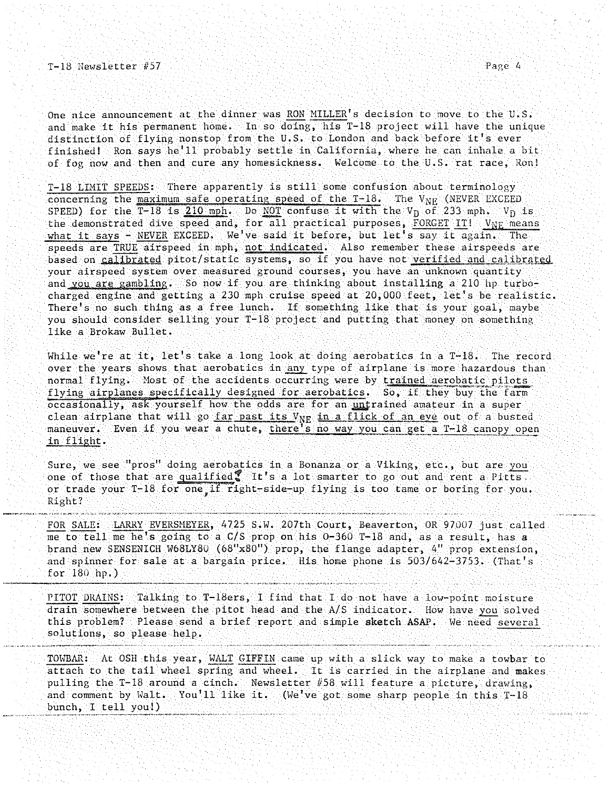One nice announcement at the dinner was RON MILLER's decision to move to the U.S. and make it his permanent home. In so doing, his T-18 project will have the unique distinction of flying nonstop from the U.S. to London and back before it's ever finished! Ron says he'll probably settle in California, where he can inhale a bit of fog now and then and cure any homesickness. Welcome to the U.S. rat race, Ron!

T-lS LIMIT SPEEDS: There apparently is still some confusion about terminology concerning the maximum safe operating speed of the  $T-18$ . The  $V_{\text{NF}}$  (NEVER EXCEED SPEED) for the  $\overline{T-18}$  is 210 mph. Do NOT confuse it with the V<sub>D</sub> of 233 mph. V<sub>D</sub> is the demonstrated dive speed and, for all practical purposes, FORGET IT! V<sub>NE</sub> means what it says - NEVER EXCEED. We've said it before, but let's say it again. The speeds are TRUE airspeed in mph, not indicated. Also remember these airspeeds are based on calibrated pitot/static systems, so if you have not verified and calibrated your airspeed system over measured ground courses, you have an unknown quantity and YOU are gambling. So now if you are thinking about installing a 210 hp turbocharged engine and getting a 230 mph cruise speed at 20,000 feet, let's be realistic. There's no such thing as a free lunch. If something like that is your goal, maybe you should consider selling your T-IS project and putting that money on something like a Brokaw Bullet.

While we're at it, let's take a long look at doing aerobatics in a  $T-18$ . The record over the years shows that aerobatics in any type of airplane is more hazardous than normal flying. Most of the accidents occurring were by trained aerobatic pilots flying airplanes specifically designed for aerobatics. So, if they buy the farm occasionally, ask yourself how the odds are for an untrained amateur in a super clean airplane that will go far past its V<sub>NE</sub> in a flick of an eye out of a busted maneuver. Even if you wear a chute, there's no way you can get a T-IS canopy open in flight.

Sure, we see "pros" doing aerobatics in a Bonanza or a Viking, etc., but are you one of those that are  $qualified$  It's a lot smarter to go out and rent a Pitts. or trade your T-18 for one,if right-side-up flying is too tame or boring for you. Right?

FOR SALE: LARRY EVERSMEYER, 4725 S.W. 207th Court, Beaverton, OR 97007 just called me to tell me he's going to a *C*/S prop on his 0-360 T-18 and, as a result, has a brand new SENSENICH W68LYSO (68"x80") prop, the flange adapter, 4" prop extension, and spinner for sale at a bargain price. His home phone is *503/642-3753.* (That's for 180 hp.)

PITOT DRAINS: Talking to T-18ers, I find that I do not have a low-point moisture drain somewhere between the pitot head and the A/S indicator. How have you solved this problem? Please send a brief report and simple sketch ASAP. We need several solutions, so please help.

TOWBAR: At OSH this year, WALT GIFFIN came up with a slick way to make a towbar to attach to the tail wheel spring and wheel. It is carried in the airplane and makes pulling the T-IS around a cinch. Newsletter #58 will feature a picture, drawing, and comment by Halt. You'll like it. (We 've got some sharp people in this T-IS bunch, I tell you!)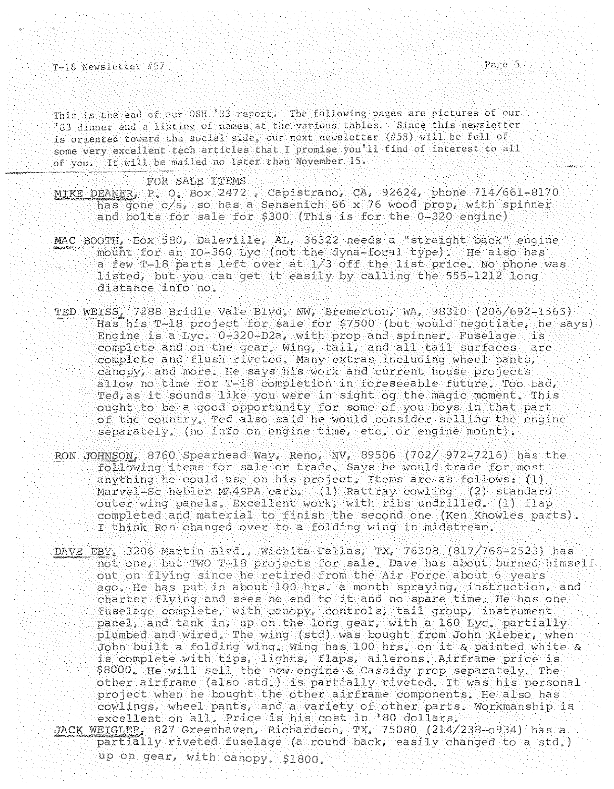This is the end of our OSH '83 report. The following pages are pictures of our '83 dinner and a listing of names at the various tables. Since this newsletter is oriented toward the social side, our next newsletter  $(158)$  will be full of some very excellent tech articles that I promise you'll find of interest to all of you. It will be mailed no later than November 15.

## FOR SALE ITEMS

0. Box 2472 , Capistrano, CA, 92624, phone 714/661-8170<br>/s, so has a Sensenich 66 x 76 wood prop, with spinner sale for \$300 (This is for the  $0-320$  engine) has gone  $c/s$ , so has a Sensenich 66 x 76 wood prop, with spinner

- MAC BOOTH, Box 580, Daleville, AL, 36322 needs a "straight back" engine mount for an IO-360 Lyc (not the dyna-foral type). He also has a few T-18 parts left over at 1/3 off the list price. No phone was listed, but you can get it easily by calling the 555-1212 long distance info no.
- $TED WETSS_1$  7288 Bridle Vale Blvd. NW, Bremerton, WA, 98310 (206/692-1565) Has his T-18 project for sale for \$7500 (but would negotiate, he says) Engine is a Lyc. 0-320-D2a, with prop and spinner. Fuselage is complete and on the gear, wing, tail, and all tail surfaces are complete and flush riveted. Many extras including wheel pants, canopy, and more. He says his work and current house projects allow no time for T-18 completion in foreseeable future. Too bad, Ted, as it sounds like you were in sight og the magic moment. This ought to be a good opportunity for some of you boys in that part he would consider selling the engine  $separated$ , (no info on engine time, etc. or engine mount).
- RON JOHNSON, 8760 Spearhead Way, Reno, NV, 89506 (702/ 972-7216) has the I think Ron changed over to a folding wing in midstream. following items for sale or trade. Says he would trade for most anything he could use on his project. Items are as follows: (1) Marvel-Sc hebler MA4SPA carb. (1) Rattray cowling (2) standard outer wing panels. Excellent work, with ribs undrilled. (1) flap completed and material to finish the second one (Ken Knowles parts).
- 3206 Martin Blvd., Wichita Fallas, TX, 76308 (817/766-2523) has not one, but TWO T-18 projects for sale. Dave has about burned himself out on flying since he retired from the Air Force about 6 years ago. He has put in about 100 hrs. a month spraying, instruction, and charter flying and sees no end to it and no spare time. He has one fuselage complete, with canopy, controls, tail group, instrument panel, and tank in, up on the long gear, with a 160 Lyc. partially plumbed and wired. The wing (std) was bought from John Kleber, when John built a folding wing. Wing has  $100$  hrs, on it a painted white a is complete with tips, lights, flaps, ailerons, Airframe price is \$8000. He will sell the new engine & Cassidy prop separately. The other airframe (also std.) is partially riveted. It was his personal project when he bought the other airframe components. He also has cowlings, wheel pants, and a variety of other parts. Workmanship is excellent on all. Price is his cost in '80 dollars.
- JACK WEIGLER, 827 Greenhaven, Richardson, TX, 75080 (214/238-0934) has a  $partial_1$  riveted fuselage (a round back, easily changed to a std.) up on gear, with canopy. \$1800.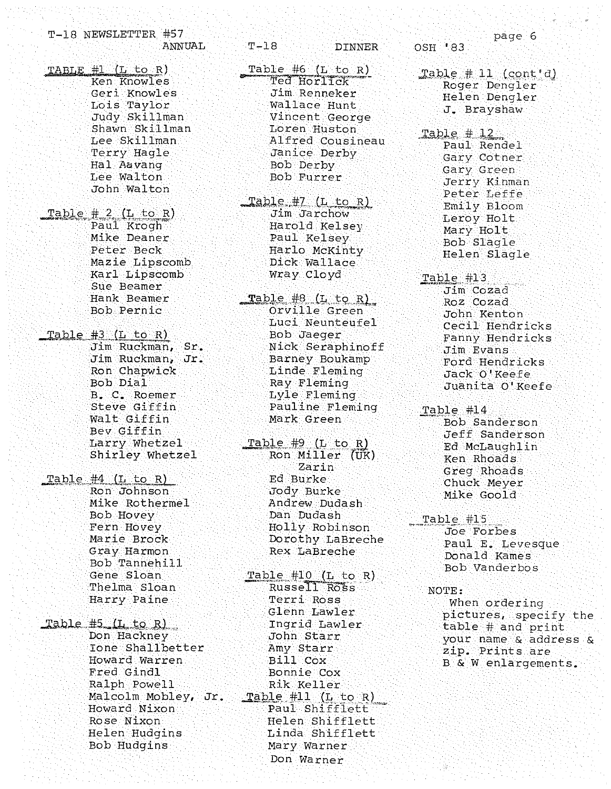|                   | T-18 NEWSLETTER #57                                              |        |
|-------------------|------------------------------------------------------------------|--------|
|                   |                                                                  | ANNUAL |
| TABLE #1 (L to R) |                                                                  |        |
|                   | Ken Knowles                                                      |        |
|                   | Geri Knowles                                                     |        |
|                   | Lois Taylor                                                      |        |
|                   | Judy Skillman                                                    |        |
|                   | Shawn Skillman                                                   |        |
|                   | Lee Skillman                                                     |        |
|                   | Terry Hagle                                                      |        |
|                   | Hal Aavang                                                       |        |
|                   | Lee Walton                                                       |        |
|                   | John Walton                                                      |        |
|                   |                                                                  |        |
|                   | Table # 2 (L to R)<br>Paul Krogh                                 |        |
|                   | .<br>Mike Deaner                                                 |        |
|                   |                                                                  |        |
|                   | Peter Beck<br>Mazie Lipscomb                                     |        |
|                   | Karl Lipscomb                                                    |        |
|                   | Sue Beamer                                                       |        |
|                   | Hank Beamer                                                      |        |
|                   | Bob Pernic                                                       |        |
|                   |                                                                  |        |
|                   | Table #3 (L to R)                                                |        |
|                   |                                                                  |        |
|                   |                                                                  |        |
|                   | Jim Ruckman, Sr.<br>Jim Ruckman, Jr.<br>Ron Chapwick<br>Bob Dial |        |
|                   |                                                                  |        |
|                   | B. C. Roemer                                                     |        |
|                   | Steve Giffin<br>Walt Giffin                                      |        |
|                   | Bev Giffin                                                       |        |
|                   | Larry Whetzel                                                    |        |
|                   | Shirley Whetzel                                                  |        |
|                   |                                                                  |        |
|                   | Table $#4$ (L to R)                                              |        |
|                   | Ron Johnson                                                      |        |
|                   | Mike Rothermel                                                   |        |
|                   | <b>Bob</b> Hovey                                                 |        |
|                   | Fern Hovey                                                       |        |
|                   | Marie Brock                                                      |        |
|                   | Gray Harmon<br>Bob Tannehill                                     |        |
|                   | Gene Sloan                                                       |        |
|                   | Thelma Sloan                                                     |        |
|                   | Harry Paine                                                      |        |
|                   |                                                                  |        |
|                   | Table #5 (I1 to R)                                               |        |
|                   | Don Hackney                                                      |        |
|                   | Ione Shallbetter                                                 |        |
|                   | Howard Warren                                                    |        |
|                   | Fred Gindl                                                       |        |
|                   | Ralph Powell                                                     |        |
|                   | Malcolm Mobley, Jr.                                              |        |
|                   | Howard Nixon                                                     |        |
|                   | Rose Nixon                                                       |        |
|                   | Helen Hudgins                                                    |        |
|                   | Bob Hudgins                                                      |        |

 $T-18$ **DINNER** Table #6 (L to R) Ted Horlick Jim Renneker Wallace Hunt Vincent George Loren Huston Alfred Cousineau Janice Derby Bob Derby Bob Furrer Table #7 (L to R) Jim Jarchow Harold Kelsey Paul Kelsey Harlo McKinty Dick Wallace Wray Cloyd Table #8 (L to R) Orville Green Luci Neunteufel **Bob** Jaeger Nick Seraphinoff Barney Boukamp Linde Fleming Ray Fleming Lyle Fleming Pauline Fleming Mark Green Table #9 (L to R) Ron Miller (UK) Zarin Ed Burke Jody Burke Andrew Dudash Dan Dudash Holly Robinson Dorothy LaBreche Rex LaBreche  $Table$ #10 (L to R) Russell Ross Terri Ross Glenn Lawler Ingrid Lawler John Starr Amy Starr Bill Cox Bonnie Cox Rik Keller Table #11 (L to R) Paul Shifflett Helen Shifflett Linda Shifflett Mary Warner Don Warner

OSH '83

page 6

Table  $#11$  (cont'd) Roger Dengler Helen Dengler J. Brayshaw

- Table # 12. Paul Rendel Gary Cotner Gary Green Jerry Kinman Peter Leffe Emily Bloom Leroy Holt Mary Holt Bob Slagle Helen Slagle
- Table #13 Jim Cozad Roz Cozad John Kenton Cecil Hendricks Fanny Hendricks Jim Evans Ford Hendricks Jack O'Keefe Juanita O'Keefe
- Table #14 Bob Sanderson Jeff Sanderson Ed McLaughlin Ken Rhoads Greg Rhoads Chuck Meyer Mike Goold
- Table #15 Joe Forbes Paul E. Levesque Donald Kames Bob Vanderbos

NOTE: When ordering pictures, specify the table # and print your name & address & zip. Prints are B & W enlargements.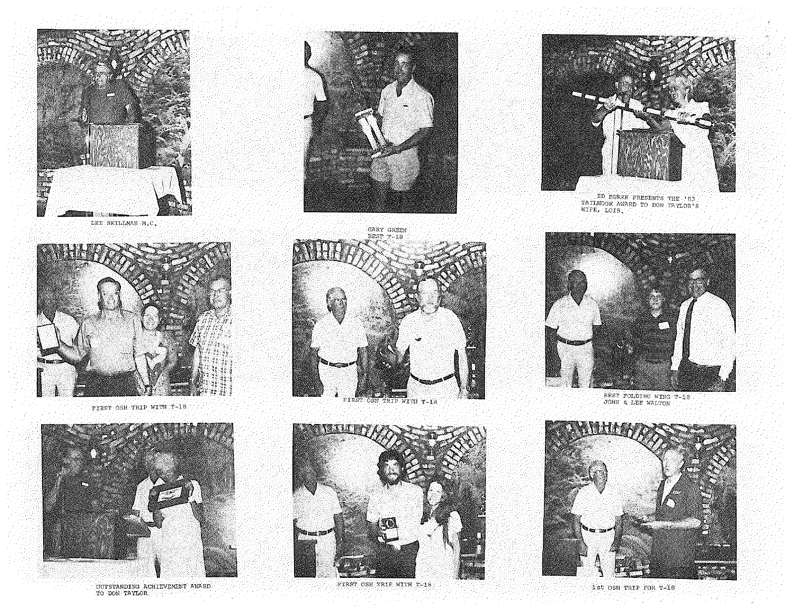

LEE SKILLMAN M.C.



FIRST OSH TRIP WITH T-18



OUTSTANDING ACHIEVEMENT AWARD<br>TO DON TAYLOR



![](_page_6_Picture_7.jpeg)

FIRST OSH TRIP WITH T-18

![](_page_6_Picture_9.jpeg)

FIRST OSH TRIP WITH T-18

![](_page_6_Picture_11.jpeg)

ED BURKE PRESENTS THE '83<br>TAILHOOK AWARD TO DON TAYLOR'S<br>WIFE, LOIS,

![](_page_6_Picture_13.jpeg)

BEST FOLDING WING T-18

![](_page_6_Picture_15.jpeg)

1st OSH TRIP FOR T-18